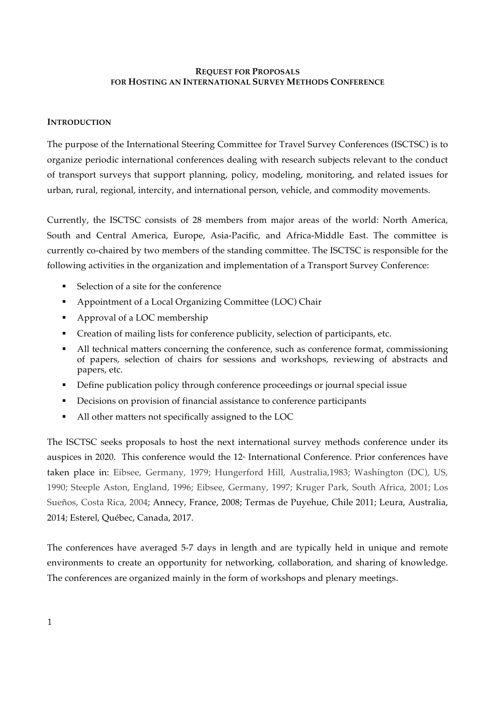## **REQUEST FOR PROPOSALS FOR HOSTING AN INTERNATIONAL SURVEY METHODS CONFERENCE**

## **INTRODUCTION**

The purpose of the International Steering Committee for Travel Survey Conferences (ISCTSC) is to organize periodic international conferences dealing with research subjects relevant to the conduct of transport surveys that support planning, policy, modeling, monitoring, and related issues for urban, rural, regional, intercity, and international person, vehicle, and commodity movements.

Currently, the ISCTSC consists of 28 members from major areas of the world: North America, South and Central America, Europe, Asia-Pacific, and Africa-Middle East. The committee is currently co-chaired by two members of the standing committee. The ISCTSC is responsible for the following activities in the organization and implementation of a Transport Survey Conference:

- Selection of a site for the conference
- § Appointment of a Local Organizing Committee (LOC) Chair
- Approval of a LOC membership
- § Creation of mailing lists for conference publicity, selection of participants, etc.
- All technical matters concerning the conference, such as conference format, commissioning of papers, selection of chairs for sessions and workshops, reviewing of abstracts and papers, etc.
- § Define publication policy through conference proceedings or journal special issue
- Decisions on provision of financial assistance to conference participants
- § All other matters not specifically assigned to the LOC

The ISCTSC seeks proposals to host the next international survey methods conference under its auspices in 2020. This conference would the 12<sup>th</sup> International Conference. Prior conferences have taken place in: Eibsee, Germany, 1979; Hungerford Hill, Australia,1983; Washington (DC), US, 1990; Steeple Aston, England, 1996; Eibsee, Germany, 1997; Kruger Park, South Africa, 2001; Los Sueños, Costa Rica, 2004; Annecy, France, 2008; Termas de Puyehue, Chile 2011; Leura, Australia, 2014; Esterel, Québec, Canada, 2017.

The conferences have averaged 5-7 days in length and are typically held in unique and remote environments to create an opportunity for networking, collaboration, and sharing of knowledge. The conferences are organized mainly in the form of workshops and plenary meetings.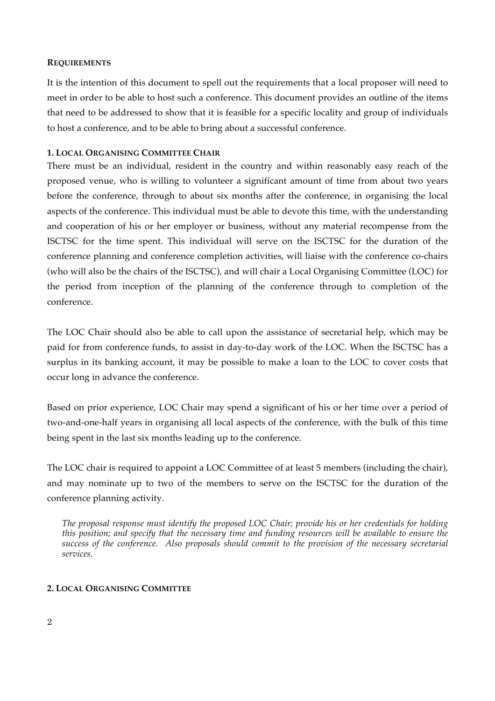### **REQUIREMENTS**

It is the intention of this document to spell out the requirements that a local proposer will need to meet in order to be able to host such a conference. This document provides an outline of the items that need to be addressed to show that it is feasible for a specific locality and group of individuals to host a conference, and to be able to bring about a successful conference.

# **1. LOCAL ORGANISING COMMITTEE CHAIR**

There must be an individual, resident in the country and within reasonably easy reach of the proposed venue, who is willing to volunteer a significant amount of time from about two years before the conference, through to about six months after the conference, in organising the local aspects of the conference. This individual must be able to devote this time, with the understanding and cooperation of his or her employer or business, without any material recompense from the ISCTSC for the time spent. This individual will serve on the ISCTSC for the duration of the conference planning and conference completion activities, will liaise with the conference co-chairs (who will also be the chairs of the ISCTSC), and will chair a Local Organising Committee (LOC) for the period from inception of the planning of the conference through to completion of the conference.

The LOC Chair should also be able to call upon the assistance of secretarial help, which may be paid for from conference funds, to assist in day-to-day work of the LOC. When the ISCTSC has a surplus in its banking account, it may be possible to make a loan to the LOC to cover costs that occur long in advance the conference.

Based on prior experience, LOC Chair may spend a significant of his or her time over a period of two-and-one-half years in organising all local aspects of the conference, with the bulk of this time being spent in the last six months leading up to the conference.

The LOC chair is required to appoint a LOC Committee of at least 5 members (including the chair), and may nominate up to two of the members to serve on the ISCTSC for the duration of the conference planning activity.

*The proposal response must identify the proposed LOC Chair; provide his or her credentials for holding this position; and specify that the necessary time and funding resources will be available to ensure the success of the conference. Also proposals should commit to the provision of the necessary secretarial services.*

# **2. LOCAL ORGANISING COMMITTEE**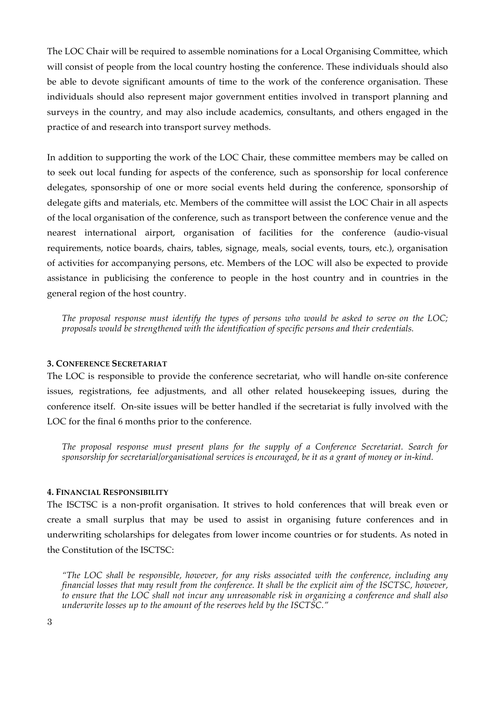The LOC Chair will be required to assemble nominations for a Local Organising Committee, which will consist of people from the local country hosting the conference. These individuals should also be able to devote significant amounts of time to the work of the conference organisation. These individuals should also represent major government entities involved in transport planning and surveys in the country, and may also include academics, consultants, and others engaged in the practice of and research into transport survey methods.

In addition to supporting the work of the LOC Chair, these committee members may be called on to seek out local funding for aspects of the conference, such as sponsorship for local conference delegates, sponsorship of one or more social events held during the conference, sponsorship of delegate gifts and materials, etc. Members of the committee will assist the LOC Chair in all aspects of the local organisation of the conference, such as transport between the conference venue and the nearest international airport, organisation of facilities for the conference (audio-visual requirements, notice boards, chairs, tables, signage, meals, social events, tours, etc.), organisation of activities for accompanying persons, etc. Members of the LOC will also be expected to provide assistance in publicising the conference to people in the host country and in countries in the general region of the host country.

*The proposal response must identify the types of persons who would be asked to serve on the LOC; proposals would be strengthened with the identification of specific persons and their credentials.* 

## **3. CONFERENCE SECRETARIAT**

The LOC is responsible to provide the conference secretariat, who will handle on-site conference issues, registrations, fee adjustments, and all other related housekeeping issues, during the conference itself. On-site issues will be better handled if the secretariat is fully involved with the LOC for the final 6 months prior to the conference.

*The proposal response must present plans for the supply of a Conference Secretariat. Search for sponsorship for secretarial/organisational services is encouraged, be it as a grant of money or in-kind.*

#### **4. FINANCIAL RESPONSIBILITY**

The ISCTSC is a non-profit organisation. It strives to hold conferences that will break even or create a small surplus that may be used to assist in organising future conferences and in underwriting scholarships for delegates from lower income countries or for students. As noted in the Constitution of the ISCTSC:

*"The LOC shall be responsible, however, for any risks associated with the conference, including any financial losses that may result from the conference. It shall be the explicit aim of the ISCTSC, however, to ensure that the LOC shall not incur any unreasonable risk in organizing a conference and shall also underwrite losses up to the amount of the reserves held by the ISCTSC."*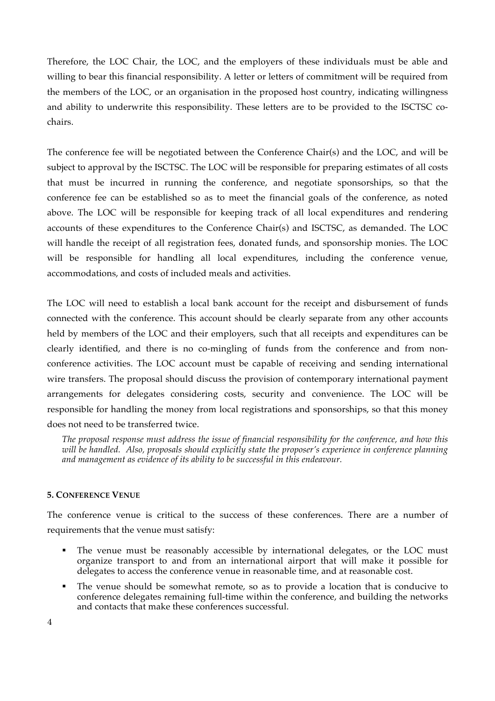Therefore, the LOC Chair, the LOC, and the employers of these individuals must be able and willing to bear this financial responsibility. A letter or letters of commitment will be required from the members of the LOC, or an organisation in the proposed host country, indicating willingness and ability to underwrite this responsibility. These letters are to be provided to the ISCTSC cochairs.

The conference fee will be negotiated between the Conference Chair(s) and the LOC, and will be subject to approval by the ISCTSC. The LOC will be responsible for preparing estimates of all costs that must be incurred in running the conference, and negotiate sponsorships, so that the conference fee can be established so as to meet the financial goals of the conference, as noted above. The LOC will be responsible for keeping track of all local expenditures and rendering accounts of these expenditures to the Conference Chair(s) and ISCTSC, as demanded. The LOC will handle the receipt of all registration fees, donated funds, and sponsorship monies. The LOC will be responsible for handling all local expenditures, including the conference venue, accommodations, and costs of included meals and activities.

The LOC will need to establish a local bank account for the receipt and disbursement of funds connected with the conference. This account should be clearly separate from any other accounts held by members of the LOC and their employers, such that all receipts and expenditures can be clearly identified, and there is no co-mingling of funds from the conference and from nonconference activities. The LOC account must be capable of receiving and sending international wire transfers. The proposal should discuss the provision of contemporary international payment arrangements for delegates considering costs, security and convenience. The LOC will be responsible for handling the money from local registrations and sponsorships, so that this money does not need to be transferred twice.

*The proposal response must address the issue of financial responsibility for the conference, and how this will be handled. Also, proposals should explicitly state the proposer's experience in conference planning and management as evidence of its ability to be successful in this endeavour.*

#### **5. CONFERENCE VENUE**

The conference venue is critical to the success of these conferences. There are a number of requirements that the venue must satisfy:

- The venue must be reasonably accessible by international delegates, or the LOC must organize transport to and from an international airport that will make it possible for delegates to access the conference venue in reasonable time, and at reasonable cost.
- The venue should be somewhat remote, so as to provide a location that is conducive to conference delegates remaining full-time within the conference, and building the networks and contacts that make these conferences successful.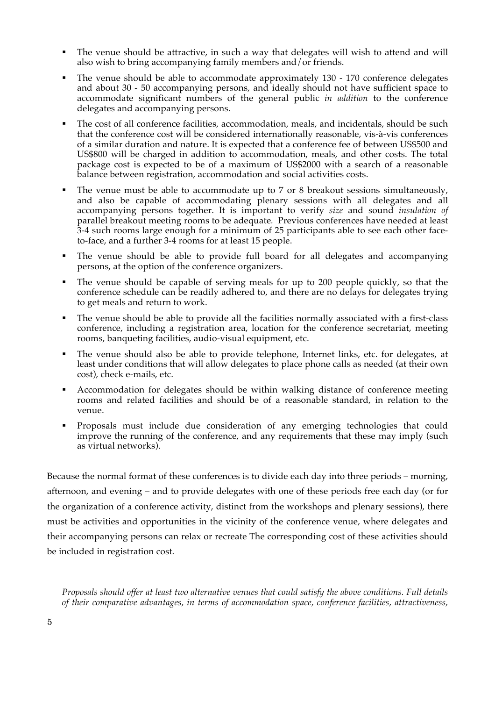- The venue should be attractive, in such a way that delegates will wish to attend and will also wish to bring accompanying family members and/or friends.
- The venue should be able to accommodate approximately 130 170 conference delegates and about 30 - 50 accompanying persons, and ideally should not have sufficient space to accommodate significant numbers of the general public *in addition* to the conference delegates and accompanying persons.
- The cost of all conference facilities, accommodation, meals, and incidentals, should be such that the conference cost will be considered internationally reasonable, vis-à-vis conferences of a similar duration and nature. It is expected that a conference fee of between US\$500 and US\$800 will be charged in addition to accommodation, meals, and other costs. The total package cost is expected to be of a maximum of US\$2000 with a search of a reasonable balance between registration, accommodation and social activities costs.
- The venue must be able to accommodate up to 7 or 8 breakout sessions simultaneously, and also be capable of accommodating plenary sessions with all delegates and all accompanying persons together. It is important to verify *size* and sound *insulation of* parallel breakout meeting rooms to be adequate*.* Previous conferences have needed at least 3-4 such rooms large enough for a minimum of 25 participants able to see each other faceto-face, and a further 3-4 rooms for at least 15 people.
- The venue should be able to provide full board for all delegates and accompanying persons, at the option of the conference organizers.
- The venue should be capable of serving meals for up to 200 people quickly, so that the conference schedule can be readily adhered to, and there are no delays for delegates trying to get meals and return to work.
- The venue should be able to provide all the facilities normally associated with a first-class conference, including a registration area, location for the conference secretariat, meeting rooms, banqueting facilities, audio-visual equipment, etc.
- The venue should also be able to provide telephone, Internet links, etc. for delegates, at least under conditions that will allow delegates to place phone calls as needed (at their own cost), check e-mails, etc.
- § Accommodation for delegates should be within walking distance of conference meeting rooms and related facilities and should be of a reasonable standard, in relation to the venue.
- § Proposals must include due consideration of any emerging technologies that could improve the running of the conference, and any requirements that these may imply (such as virtual networks).

Because the normal format of these conferences is to divide each day into three periods – morning, afternoon, and evening – and to provide delegates with one of these periods free each day (or for the organization of a conference activity, distinct from the workshops and plenary sessions), there must be activities and opportunities in the vicinity of the conference venue, where delegates and their accompanying persons can relax or recreate The corresponding cost of these activities should be included in registration cost.

*Proposals should offer at least two alternative venues that could satisfy the above conditions. Full details of their comparative advantages, in terms of accommodation space, conference facilities, attractiveness,*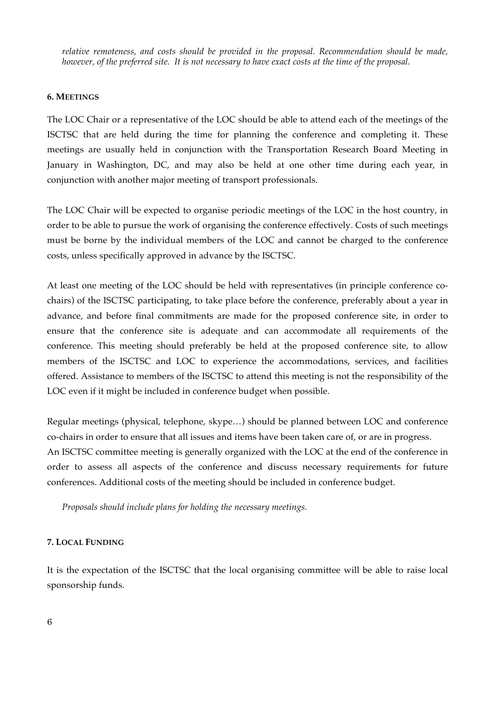*relative remoteness, and costs should be provided in the proposal. Recommendation should be made, however, of the preferred site. It is not necessary to have exact costs at the time of the proposal.*

### **6. MEETINGS**

The LOC Chair or a representative of the LOC should be able to attend each of the meetings of the ISCTSC that are held during the time for planning the conference and completing it. These meetings are usually held in conjunction with the Transportation Research Board Meeting in January in Washington, DC, and may also be held at one other time during each year, in conjunction with another major meeting of transport professionals.

The LOC Chair will be expected to organise periodic meetings of the LOC in the host country, in order to be able to pursue the work of organising the conference effectively. Costs of such meetings must be borne by the individual members of the LOC and cannot be charged to the conference costs, unless specifically approved in advance by the ISCTSC.

At least one meeting of the LOC should be held with representatives (in principle conference cochairs) of the ISCTSC participating, to take place before the conference, preferably about a year in advance, and before final commitments are made for the proposed conference site, in order to ensure that the conference site is adequate and can accommodate all requirements of the conference. This meeting should preferably be held at the proposed conference site, to allow members of the ISCTSC and LOC to experience the accommodations, services, and facilities offered. Assistance to members of the ISCTSC to attend this meeting is not the responsibility of the LOC even if it might be included in conference budget when possible.

Regular meetings (physical, telephone, skype…) should be planned between LOC and conference co-chairs in order to ensure that all issues and items have been taken care of, or are in progress. An ISCTSC committee meeting is generally organized with the LOC at the end of the conference in order to assess all aspects of the conference and discuss necessary requirements for future conferences. Additional costs of the meeting should be included in conference budget.

*Proposals should include plans for holding the necessary meetings.*

## **7. LOCAL FUNDING**

It is the expectation of the ISCTSC that the local organising committee will be able to raise local sponsorship funds.